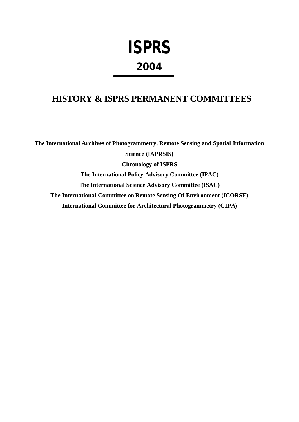# **ISPRS 2004**

## **HISTORY & ISPRS PERMANENT COMMITTEES**

**The International Archives of Photogrammetry, Remote Sensing and Spatial Information Science (IAPRSIS) Chronology of ISPRS The International Policy Advisory Committee (IPAC) The International Science Advisory Committee (ISAC) The International Committee on Remote Sensing Of Environment (ICORSE) International Committee for Architectural Photogrammetry (CIPA)**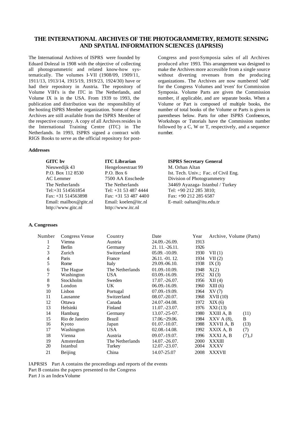#### **THE INTERNATIONAL ARCHIVES OF THE PHOTOGRAMMETRY, REMOTE SENSING AND SPATIAL INFORMATION SCIENCES (IAPRSIS)**

The International Archives of ISPRS were founded by Eduard Dolezal in 1908 with the objective of collecting all photogrammetric and related know-how systematically. The volumes I-VII (1908/09, 1909/11, 1911/13, 1913/14, 1915/19, 1919/23, 1924/30) have or had their repository in Austria. The repository of Volume VIH's is the ITC in The Netherlands, and Volume IX is in the USA. From 1939 to 1993, the publication and distribution was the responsibility of the hosting ISPRS Member organization. Some of these Archives are still available from the ISPRS Member of the respective country. A copy of all Archives resides in the International Training Centre (ITC) in The Netherlands. In 1993, ISPRS signed a contract with RIGS Books to serve as the official repository for post-

#### **Addresses**

**GITC bv** Nieuwedijk 43 P.O. Box 112 8530 AC Lemmer The Netherlands Tel:+31 514561854  $Fax: +31514563898$ Email: mailbox@gitc.nl http://www.gitc.nl **ITC Librarian** Hengelosestraat 99 P.O. Box 6 7500 AA Enschede The Netherlands Tel: +31 53 487 4444  $Fax: +31$  53 487 4400 Email: koelen@itc.nl **ISPRS Secretary General** M. Orhan Altan Ist. Tech. Univ.; Fac. of Civil Eng. Division of Photogrammetry 34469 Ayazaga- Istanbul / Turkey Tel:  $+90.212.285.3810$ ;  $Fax \div 490$  212 285 6587 E-mail: oaltan@itu.edu.tr

http://www.itc.nl

#### **A. Congresses**

Congress and post-Symposia sales of all Archives produced after 1993. This arrangement was designed to make the Archives more accessible from a single source without diverting revenues from the producing organizations. The Archives are now numbered 'odd' for the Congress Volumes and 'even' for Commission Symposia. Volume Parts are given the Commission number, if applicable, and are separate books. When a Volume or Part is composed of multiple books, the number of total books of the Volume or Parts is given in parentheses below. Parts for other ISPRS Conferences, Workshops or Tutorials have the Commission number followed by a C, W or T, respectively, and a sequence number.

| Number | Congress Venue | Country         | Date                | Year | Archive, Volume (Parts) |          |
|--------|----------------|-----------------|---------------------|------|-------------------------|----------|
| 1      | Vienna         | Austria         | 24.09.-26.09.       | 1913 |                         |          |
| 2      | Berlin         | Germany         | 21. 11. -26.11.     | 1926 |                         |          |
| 3      | Zurich         | Switzerland     | $05.09. -10.09.$    | 1930 | VII(1)                  |          |
| 4      | Paris          | France          | 26.11. -01. 12.     | 1934 | VII(2)                  |          |
| 5      | Rome           | Italy           | 29.09.-06.10.       | 1938 | IX $(3)$                |          |
| 6      | The Hague      | The Netherlands | $01.09 - 10.09$ .   | 1948 | X(2)                    |          |
| 7      | Washington     | USA.            | $03.09 - 16.09.$    | 1952 | XI(3)                   |          |
| 8      | Stockholm      | Sweden          | $17.07 - 26.07$ .   | 1956 | XII(4)                  |          |
| 9      | London         | UK.             | $06.09 - 16.09.$    | 1960 | XIII(6)                 |          |
| 10     | Lisbon         | Portugal        | $07.09 - 19.09.$    | 1964 | XV(7)                   |          |
| 11     | Lausanne       | Switzerland     | $08.07 - 20.07$ .   | 1968 | XVII(10)                |          |
| 12     | Ottawa         | Canada          | 24.07.-04.08.       | 1972 | XIX(6)                  |          |
| 13     | Helsinki       | Finland         | 11.07. - 23.07.     | 1976 | XXI(13)                 |          |
| 14     | <b>Hamburg</b> | Germany         | $13.07 - 25 - 07$ . | 1980 | XXIII A, B              | (11)     |
| 15     | Rio de Janeiro | Brazil          | $17.06 - 29.06$ .   | 1984 | $XXV A(8)$ ,            | B        |
| 16     | Kyoto          | Japan           | $01.07 - 10.07$ .   | 1988 | XXVII A, B              | (13)     |
| 17     | Washington     | <b>USA</b>      | $02.08 - 14.08$ .   | 1992 | XXIX A, B               | (7)      |
| 18     | Vienna         | Austria         | 09.07.-19.07.       | 1996 | XXXI A, B               | $(7),$ J |
| 19     | Amsterdam      | The Netherlands | $14.07 - 26.07$ .   | 2000 | <b>XXXIII</b>           |          |
| 20     | Istanbul       | Turkey          | $12.07 - 23.07$ .   | 2004 | XXXV                    |          |
| 21     | Beijing        | China           | 14.07-25.07         | 2008 | <b>XXXVII</b>           |          |
|        |                |                 |                     |      |                         |          |

IAPRSIS Part A contains the proceedings and reports of the events Part B contains the papers presented to the Congress Part J is an Index-Volume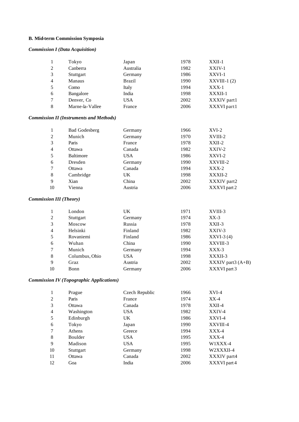#### **B. Mid-term Commission Symposia**

#### *Commission I (Data Acquisition)*

| $\mathbf{1}$                   | Tokyo                                          | Japan         | 1978 | XXII-1            |
|--------------------------------|------------------------------------------------|---------------|------|-------------------|
| $\overline{c}$                 | Canberra                                       | Australia     | 1982 | XXIV-1            |
| 3                              | Stuttgart                                      | Germany       | 1986 | XXVI-1            |
| $\overline{4}$                 | Manaus                                         | <b>Brazil</b> | 1990 | $XXVIII-1(2)$     |
| 5                              | Como                                           | Italy         | 1994 | $XXX-1$           |
| 6                              | Bangalore                                      | India         | 1998 | XXXII-1           |
| 7                              | Denver, Co                                     | <b>USA</b>    | 2002 | XXXIV part1       |
| 8                              | Marne-la-Vallee                                | France        | 2006 | XXXVI part1       |
|                                | <b>Commission II (Instruments and Methods)</b> |               |      |                   |
| $\mathbf{1}$                   | <b>Bad Godesberg</b>                           | Germany       | 1966 | $XVI-2$           |
| $\overline{c}$                 | Munich                                         | Germany       | 1970 | XVIII-2           |
| 3                              | Paris                                          | France        | 1978 | $XXII-2$          |
| $\overline{4}$                 | Ottawa                                         | Canada        | 1982 | XXIV-2            |
| 5                              | <b>Baltimore</b>                               | <b>USA</b>    | 1986 | XXVI-2            |
| 6                              | Dresden                                        | Germany       | 1990 | XXVIII-2          |
| 7                              | Ottawa                                         | Canada        | 1994 | $XXX-2$           |
| $\,8\,$                        | Cambridge                                      | UK            | 1998 | XXXII-2           |
| 9                              | Xian                                           | China         | 2002 | XXXIV part2       |
| 10                             | Vienna                                         | Austria       | 2006 | XXXVI part 2      |
| <b>Commission III (Theory)</b> |                                                |               |      |                   |
| 1                              | London                                         | UK            | 1971 | XVIII-3           |
| $\overline{c}$                 | Stuttgart                                      | Germany       | 1974 | $XX-3$            |
| 3                              | Moscow                                         | Russia        | 1978 | XXII-3            |
| $\overline{4}$                 | Helsinki                                       | Finland       | 1982 | XXIV-3            |
| 5                              | Rovaniemi                                      | Finland       | 1986 | $XXVI-3(4)$       |
| 6                              | Wuhan                                          | China         | 1990 | XXVIII-3          |
| 7                              | Munich                                         | Germany       | 1994 | XXX-3             |
| 8                              | Columbus, Ohio                                 | <b>USA</b>    | 1998 | XXXII-3           |
| 9                              | Graz                                           | Austria       | 2002 | XXXIV part3 (A+B) |

#### *Commission IV (Topographic Applications)*

|                | Prague     | Czech Republic | 1966 | $XVI-4$      |
|----------------|------------|----------------|------|--------------|
| 2              | Paris      | France         | 1974 | $XX-4$       |
| 3              | Ottawa     | Canada         | 1978 | XXII-4       |
| $\overline{4}$ | Washington | <b>USA</b>     | 1982 | XXIV-4       |
| 5              | Edinburgh  | UK.            | 1986 | XXVI-4       |
| 6              | Tokyo      | Japan          | 1990 | XXVIII-4     |
| 7              | Athens     | Greece         | 1994 | $XXX-4$      |
| 8              | Boulder    | <b>USA</b>     | 1995 | $XXX-4$      |
| 9              | Madison    | <b>USA</b>     | 1995 | W1XXX-4      |
| 10             | Stuttgart  | Germany        | 1998 | W2XXXII-4    |
| 11             | Ottawa     | Canada         | 2002 | XXXIV part4  |
| 12             | Goa        | India          | 2006 | XXXVI part 4 |

10 Bonn Germany 2006 XXXVI part 3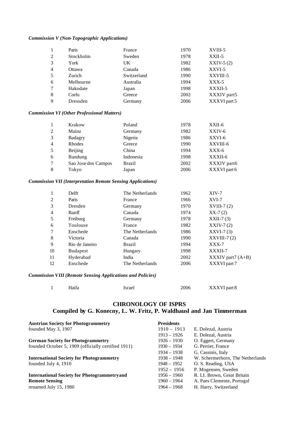#### *Commission V (Non-Topographic Applications)*

|                | Paris     | France      | 1970 | XVIII-5      |
|----------------|-----------|-------------|------|--------------|
| 2              | Stockholm | Sweden      | 1978 | $XXII-5$     |
| 3              | York      | UK          | 1982 | $XXIV-5(2)$  |
| $\overline{4}$ | Ottawa    | Canada      | 1986 | XXVI-5       |
| 5              | Zurich    | Switzerland | 1990 | XXVIII-5     |
| 6              | Melbourne | Australia   | 1994 | $XXX-5$      |
| 7              | Hakodate  | Japan       | 1998 | XXXII-5      |
| 8              | Corfu     | Greece      | 2002 | XXXIV part5  |
| 9              | Dressden  | Germany     | 2006 | XXXVI part 5 |

#### *Commission VI (Other Professional Matters)*

|                | Krakow              | Poland        | 1978 | XXII-6       |
|----------------|---------------------|---------------|------|--------------|
| 2              | Mainz               | Germany       | 1982 | XXIV-6       |
| 3              | Badagry             | Nigeria       | 1986 | XXVI-6       |
| $\overline{4}$ | Rhodes              | Greece        | 1990 | XXVIII-6     |
| 5              | Beijing             | China         | 1994 | $XXX-6$      |
| 6              | Bandung             | Indonesia     | 1998 | XXXII-6      |
| 7              | Sao Jose dos Campos | <b>Brazil</b> | 2002 | XXXIV part6  |
| 8              | Tokyo               | Japan         | 2006 | XXXVI part 6 |

#### *Commission VII (Interpretation Remote Sensing Applications)*

|                | <b>Delft</b>    | The Netherlands | 1962 | $XIV-7$                                                    |
|----------------|-----------------|-----------------|------|------------------------------------------------------------|
| $\overline{c}$ | Paris           | France          | 1966 | $XVI-7$                                                    |
| 3              | Dresden         | Germany         | 1970 | $XVIII-7(2)$                                               |
| $\overline{4}$ | Banff           | Canada          | 1974 | $XX-7(2)$                                                  |
| 5              | Freiburg        | Germany         | 1978 | $XXII-7(3)$                                                |
| 6              | Toulouse        | France          | 1982 | $XXIV-7(2)$                                                |
| 7              | Enschede        | The Netherlands | 1986 | $XXVI-7(3)$                                                |
| 8              | Victoria        | Canada          | 1990 | $XXVIII-7(2)$                                              |
| 9              | Rio de Janeiro  | <b>Brazil</b>   | 1994 | $XXX-7$                                                    |
| 10             | <b>Budapest</b> | Hungary         | 1998 | XXXII-7                                                    |
| 11             | Hyderabad       | India           | 2002 | $\overline{\text{XXXIV}}$ part $\overline{\text{7}}$ (A+B) |
| 12             | Enschede        | The Netherlands | 2006 | XXXVI part 7                                               |
|                |                 |                 |      |                                                            |

#### *Commission VIII (Remote Sensing Applications and Policies)*

|  | Haifa | Israel | 2006 | XXXVI part 8 |
|--|-------|--------|------|--------------|
|--|-------|--------|------|--------------|

### **CHRONOLOGY OF ISPRS Compiled by G. Konecny, L. W. Fritz, P. Waldhausl and Jan Timmerman**

| <b>Austrian Society for Photogrammetry</b>          | <b>Presidents</b> |                                  |
|-----------------------------------------------------|-------------------|----------------------------------|
| founded May 3, 1907                                 | $1910 - 1913$     | E. Dolezal, Austria              |
|                                                     | $1913 - 1926$     | E. Dolezal, Austria              |
| <b>German Society for Photogrammetry</b>            | $1926 - 1930$     | O. Eggert, Germany               |
| founded October 5, 1909 (officially certified 1911) | $1930 - 1934$     | G. Perrier, France               |
|                                                     | $1934 - 1938$     | G. Cassinis, Italy               |
| <b>International Society for Photogrammetry</b>     | $1938 - 1948$     | W. Schermerhorn, The Netherlands |
| founded July 4, 1910                                | $1948 - 1952$     | O. S. Reading, USA               |
|                                                     | $1952 - 1956$     | P. Mogensen, Sweden              |
| <b>International Society for Photogrammetry and</b> | $1956 - 1960$     | R. LI. Brown, Great Britain      |
| <b>Remote Sensing</b>                               | $1960 - 1964$     | A. Paes Clemente, Portugal       |
| renamed July 15, 1980                               | $1964 - 1968$     | H. Harry, Switzerland            |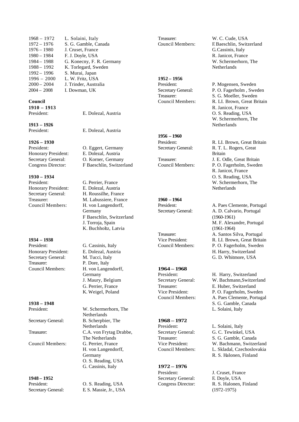| $1968 - 1972$ | L. Solaini, Italy         |
|---------------|---------------------------|
| $1972 - 1976$ | S. G. Gamble, Canada      |
| $1976 - 1980$ | J. Cruset, France         |
| $1980 - 1984$ | F. J. Doyle, USA          |
| $1984 - 1988$ | G. Konecny, F. R. Germany |
| $1988 - 1992$ | K. Torlegard, Sweden      |
| $1992 - 1996$ | S. Murai, Japan           |
| $1996 - 2000$ | L. W. Fritz, USA          |
| $2000 - 2004$ | J. Trinder, Australia     |
| $2004 - 2008$ | I. Dowman, UK             |
|               |                           |

#### **Council**

**1910 – 1913**

**1913 – 1926**

**1926 – 1930** Honorary President: E. Dolezal, Austria

**1930 – 1934** President: G. Perrier, France Honorary President: E. Dolezal, Austria

**1934 – 1938** President: G. Cassinis, Italy Honorary President: E. Dolezal, Austria Secretary General: M. Tucci, Italy Treasurer: P. Dore, Italy

**1938 – 1948**

**1948 – 1952**

President: E. Dolezal, Austria

President: E. Dolezal, Austria

President: O. Eggert, Germany Secretary General: O. Korner, Germany Congress Director: F Baeschlin, Switzerland

Secretary General: H. Roussilhe, France Treasurer: M. Labussiere, France<br>Council Members: H. von Langendorff. H. von Langendorff, Germany F Baeschlin, Switzerland J. Torroja, Spain K. Buchholtz, Latvia

Council Members: H. von Langendorff, Germany J. Maury, Belgium G. Perrier, France K. Weigel, Poland

President: W. Schermerhorn, The Netherlands Secretary General: B. Scherpbier, The **Netherlands** Treasurer: C.A. von Frytag Drabbe, The Netherlands Council Members: G. Perrier, France H. von Langendorff, Germany O. S. Reading, USA G. Cassinis, Italy

President: O. S. Reading, USA Secretary General: E. S. Massie, Jr., USA Treasurer: W. C. Cude, USA

**1952 – 1956**

**1956 – 1960**

**1960 – 1964**

#### **1964 – 1968**

**1968 – 1972**

#### **1972 – 1976**

President: J. Cruset, France Secretary General: F. Doyle, USA

Council Members: F. Baeschlin, Switzerland G. Cassinis, Italy R. Janicot, France W. Schermerhorn, The Netherlands

President: P. Mogensen, Sweden Secretary General: P. O. Fagerholm , Sweden Treasurer: S. G. Moeller, Sweden Council Members: R. LI. Brown, Great Britain R. Janicot, France O. S. Reading, USA W. Schermerhorn, The Netherlands

President: R. LI. Brown, Great Britain Secretary General: R. T. L. Rogers, Great Britain Treasurer: J. E. Odle, Great Britain Council Members: P. O. Fagerholm, Sweden R. Janicot, France O. S. Reading, USA W. Schermerhorn, The **Netherlands** 

President: A. Paes Clemente, Portugal Secretary General: A. D. Calvario, Portugal (1960-1961) M. F. Alexandre, Portugal (1961-1964) Treasurer: A. Santos Silva, Portugal Vice President: R. LI. Brown, Great Britain Council Members: P. O. Fagerholm, Sweden H. Harry, Switzerland G. D. Whitmore, USA

President: H. Harry, Switzerland Secretary General: W. Bachmann,Switzerland Treasurer: E. Huber, Switzerland Vice President: P. O. Fagerholm, Sweden Council Members: A. Paes Clemente, Portugal S. G. Gamble, Canada L. Solaini, Italy

President: L. Solaini, Italy Secretary General: G. C. Tewinkel, USA Treasurer: S. G. Gamble, Canada Vice President: W. Bachmann, Switzerland Council Members: L. Skladal, Czechoslovakia R. S. Halonen, Finland

Congress Director: R. S. Halonen, Finland (1972-1975)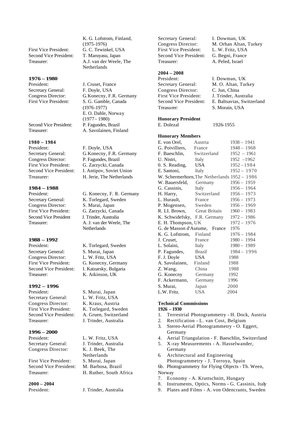First Vice President: G. C. Tewinkel, USA Second Vice President: T. Maruyasu, Japan

#### **1976 – 1980**

President: J. Cruset, France Secretary General: F. Doyle, USA<br>Congress Director: G. Konecny, F.

Second Vice President: P. Fagundes, Brazil

#### **1980 – 1984**

President: F. Doyle, USA<br>Secretary General: G. Konecny, F. Congress Director: P. Fagundes, Brazil First Vice President: G. Zarzycki, Canada

#### **1984 – 1988**

Congress Director: S. Murai, Japan First Vice President: G. Zarzycki, Canada Second Vice President J. Trinder, Australia

#### **1988 – 1992**

President: K. Torlegard, Sweden Secretary General: S. Murai, Japan Congress Director: L. W. Fritz, USA First Vice President: G. Konecny, Germany Second Vice President: I. Katzarsky, Bulgaria Treasurer: K. Atkinson, UK

#### **1992 – 1996**

President: S. Murai, Japan Secretary General: L. W. Fritz, USA Congress Director: K. Kraus, Austria First Vice President: K. Torlegard, Sweden Second Vice President: A. Gruen, Switzerland Treasurer: J. Trinder, Australia

#### **1996 – 2000**

Congress Director: K. J. Beek, The

First Vice President: S. Murai, Japan Second Vice President: M. Barbosa, Brazil

## **2000 – 2004**

K. G. Lofstrom, Finland, (1975-1976) Treasurer: A.J. van der Weele, The Netherlands

Congress Director: G. Konecny, F.R. Germany<br>First Vice President: S. G. Gamble. Canada S. G. Gamble, Canada (1976-1977) E. O. Dahle, Norway (1977 - 1980) Treasurer: A. Savolainen, Finland

G. Konecny, F.R. Germany Second Vice President: I. Antipov, Soviet Union Treasurer: H. Jerie, The Netherlands

President: G. Konecny, F. R. Germany Secretary General: K. Torlegard, Sweden Treasurer: A. J. van der Weele, The **Netherlands** 

President: L. W. Fritz, USA Secretary General: J. Trinder, Australia **Netherlands** Treasurer: H. Ruther, South Africa

President: J. Trinder, Australia

Secretary General: I. Dowman, UK First Vice President: L. W. Fritz, USA Second Vice President: G. Begni, France Treasurer: A. Peled, Israel

#### **2004 – 2008**

Secretary General: M. O. Altan, Turkey Congress Director: C. Jun, China<br>First Vice President: J. Trinder, Australia First Vice President: Treasurer: S. Morain, USA

#### **Honorary President**

E. Dolezal 1926-1955

#### **Honorary Members**

| E. von Orel,                                 | Austria       | $1938 - 1941$ |
|----------------------------------------------|---------------|---------------|
| G. Poivilliers,                              | France        | $1948 - 1968$ |
| F. Baeschlin,                                | Switzerland   | $1952 - 1961$ |
| U. Nistri,                                   | Italy         | $1952 - 1962$ |
| 0. S. Reading,                               | USA           | 1952-1984     |
| E. Santoni,                                  | Italy         | $1952 - 1970$ |
| W. Schermerhorn, The Netherlands 1952 - 1986 |               |               |
| W. Bauersfeld,                               | Germany       | $1956 - 1959$ |
| G. Cassinis,                                 | Italy         | 1956 - 1964   |
| H. Harry,                                    | Switzerland   | $1956 - 1973$ |
| L. Hurault,                                  | France        | $1956 - 1973$ |
| P. Mogensen,                                 | Sweden        | $1956 - 1969$ |
| R. LI. Brown,                                | Great Britain | $1960 - 1983$ |
| K. Schwidefsky, F.R. Germany                 |               | $1972 - 1986$ |
| E. H. Thompson, UK                           |               | 1972 - 1976   |
| G. de Masson d'Autume, France                |               | 1976          |
| K. G. Lofstrom,                              | Finland       | 1976 - 1984   |
| J. Cruset,                                   | France        | $1980 - 1994$ |
| L. Solaini,                                  | Italy         | 1980 - 1989   |
| P. Fagundes,                                 | <b>Brazil</b> | $1984 - 1996$ |
| F. J. Doyle                                  | USA.          | 1988          |
| A. Savolainen,                               | Finland       | 1988          |
| Z. Wang,                                     | China         | 1988          |
| G. Konecny                                   | Germany       | 1992          |
| F. Ackermann,                                | Germany       | 1996          |
| S. Murai,                                    | Japan         | 2000          |
| L.W. Fritz.                                  | USA           | 2004          |

#### **Technical Commissions**

#### **1926 – 1930**

- 1. Terrestrial Photogrammetry H. Dock, Austria
- 2. Rectification L. van Cost, Belgium
- 3. Stereo-Aerial Photogrammetry O. Eggert, Germany
- 4. Aerial Triangulation F. Baeschlin, Switzerland
- 5. X-ray Measurements A. Hasselwander, Germany
- 6. Architectural and Engineering
- Photogrammetry J. Torroya, Spain 6b. Photogrammetry for Flying Objects - Th. Ween, Norway
- 7. Economy A. Kruttschnitt, Hungary
- 8. Instruments, Optics, Norms G. Cassinis, Italy
- 9. Plates and Films A. von Odencrants, Sweden

Congress Director: M. Orhan Altan, Turkey

President: I. Dowman, UK Second Vice President: E. Baltsavias, Switzerland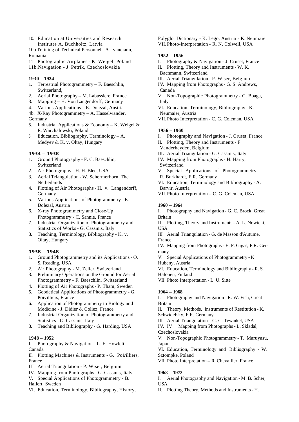10. Education at Universities and Research Institutes A. Buchholtz, Latvia

10b.Training of Technical Personnel - A. Ivancianu, Romania

11. Photographic Airplanes - K. Weigel, Poland

11b.Navigation - J. Petrik, Czechoslovakia

#### **1930 – 1934**

- 1. Terrestrial Photogrammetry F. Baeschlin, Switzerland,
- 2. Aerial Photography M. Labussiere, France
- 3. Mapping H. Von Langendorff, Germany
- 4. Various Applications E. Dolezal, Austria
- 4b. X-Ray Photogrammetry A. Hasselwander, Germany
- 5. Industrial Applications & Economy K. Weigel & E. Warchalowski, Poland
- 6. Education, Bibliography, Terminology A. Medyev & K. v. Oltay, Hungary

#### **1934 – 1938**

- 1. Ground Photography F. C. Baeschlin, Switzerland
- 2. Air Photography H. H. Blee, USA
- 3. Aerial Triangulation W. Schermerhorn, The Netherlands
- 4. Plotting of Air Photographs H. v. Langendorff, Germany
- 5. Various Applications of Photogrammetry E. Dolezal, Austria
- 6. X-ray Photogrammetry and Close-Up Photogramme try - C. Sannie, France
- 7. Industrial Organization of Photogrammetry and Statistics of Works - G. Cassinis, Italy
- 8. Teaching, Terminology, Bibliography K. v. Oltay, Hungary

#### **1938 – 1948**

- 1. Ground Photogrammetry and its Applications O. S. Reading, USA
- 2. Air Photography M. Zeller, Switzerland
- 3. Preliminary Operations on the Ground for Aerial Photogrammetry - F. Baeschlin, Switzerland
- 4. Plotting of Air Photographs P. Tham, Sweden
- 5. Geodetical Applications of Photogrammetry G. Poivilliers, France
- 6. Application of Photogrammetry to Biology and Medicine - J. Didier & Coliez, France
- 7. Industrial Organization of Photogrammetry and Statistics - G. Cassinis, Italy
- 8. Teaching and Bibliography G. Harding, USA

#### **1948 – 1952**

I. Photography & Navigation - L. E. Howlett, Canada

- II. Plotting Machines & Instruments G. Poivilliers, France
- III. Aerial Triangulation P. Wiser, Belgium
- IV. Mapping from Photographs G. Cassinis, Italy
- V. Special Applications of Photogrammetry B. Hallert, Sweden
- VI. Education, Terminology, Bibliography, History,

Polyglot Dictionary - K. Lego, Austria - K. Neumaier VII. Photo-Interpretation - R. N. Colwell, USA

#### **1952 – 1956**

- I. Photography & Navigation J. Cruset, France
- II. Plotting, Theory and Instruments W. K.
- Bachmann, Switzerland
- III. Aerial Triangulation P. Wiser, Belgium
- IV. Mapping from Photographs G. S. Andrews, Canada
- V. Non-Topographic Photogrammetry G. Boaga, Italy

VI. Education, Terminology, Bibliography - K. Neumaier, Austria

VII. Photo Interpretation - C. G. Coleman, USA

#### **1956 – 1960**

- I. Photography and Navigation J. Cruset, France II. Plotting, Theory and Instruments - F.
- Vanderheyden, Belgium
- III. Aerial Triangulation G. Cassinis, Italy
- IV. Mapping from Photographs H. Harry,
- Switzerland
- V. Special Applications of Photogrammetry -
- R. Burkhardt, F.R. Germany
- VI. Education, Terminology and Bibliography A. Barvir, Austria
- VII. Photo Interpretation C. G. Coleman, USA

#### **1960 – 1964**

I. Photography and Navigation - G. C. Brock, Great Britain

II. Plotting, Theory and Instruments - A. L. Nowicki, USA

III. Aerial Triangulation - G. de Masson d'Autume, France

IV. Mapping from Photographs - E. F. Gigas, F.R. Germany

V. Special Applications of Photogrammetry - K. Hubeny, Austria

- VI. Education, Terminology and Bibliography R. S.
- Halonen, Finland
- VII. Photo Interpretation L. U. Sitte

#### **1964 – 1968**

I. Photography and Navigation - R. W. Fish, Great Britain

II. Theory, Methods, Instruments of Restitution - K. Schwidefsky, F.R. Germany

III. Aerial Triangulation – G. C. Tewinkel, USA

IV. IV Mapping from Photographs - L. Skladal, Czechoslovakia

V. Non-Topographic Photogrammetry - T. Maruyasu, Japan

VI. Education, Terminology and Bibliography - W. Sztompke, Poland

VII. Photo Interpretation – R. Chevallier, France

#### **1968 – 1972**

I. Aerial Photography and Navigation - M. B. Scher, USA

II. Plotting Theory, Methods and Instruments - H.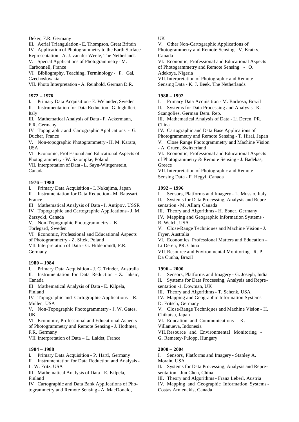Deker, F.R. Germany

III. Aerial Triangulation - E. Thompson, Great Britain IV. Application of Photogrammetry to the Earth Surface

Representation - A. J. van der Weele, The Netherlands V. Special Applications of Photogrammetry - M.

Carbonnell, France

VI. Bibliography, Teaching, Terminology - P. Gal, Czechoslovakia

VII. Photo Interpretation - A. Reinhold, German D.R.

#### **1972 – 1976**

I. Primary Data Acquisition - E. Welander, Sweden II. Instrumentation for Data Reduction - G. Inghilleri,

Italy

III. Mathematical Analysis of Data - F. Ackermann, F.R. Germany

IV. Topographic and Cartographic Applications - G. Ducher, France

V. Non-topographic Photogrammetry - H. M. Karara, USA

VI. Economic, Professional and Educational Aspects of Photogrammetry - W. Sztompke, Poland

VII. Interpretation of Data - L. Sayn-Wittgenstein, Canada

#### **1976 – 1980**

I. Primary Data Acquisition - I. Nakajima, Japan

II. Instrumentation for Data Reduction - M. Baussart, France

III. Mathematical Analysis of Data - I. Antipov, USSR

IV. Topographic and Cartographic Applications - J. M. Zarzycki, Canada

V. Non-Topographic Photogrammetry - K. Torlegard, Sweden

VI. Economic, Professional and Educational Aspects of Photogrammetry - Z. Sitek, Poland

VII. Interpretation of Data - G. Hildebrandt, F.R.

Germany

#### **1980 – 1984**

I. Primary Data Acquisition - J. C. Trinder, Australia II. Instrumentation for Data Reduction - Z. Jaksic,

Canada

III. Mathematical Analysis of Data - E. Kilpela, Finland

IV. Topographic and Cartographic Applications - R. Mullen, USA

V. Non-Topographic Photogrammetry - J. W. Gates, UK

VI. Economic, Professional and Educational Aspects of Photogrammetry and Remote Sensing - J. Hothmer, F.R. Germany

VII. Interpretation of Data – L. Laidet, France

#### **1984 – 1988**

I. Primary Data Acquisition - P. Hartl, Germany

II. Instrumentation for Data Reduction and Analysis - L. W. Fritz, USA

III. Mathematical Analysis of Data - E. Kilpela, Finland

IV. Cartographic and Data Bank Applications of Photogrammetry and Remote Sensing - A. MacDonald,

UK

V. Other Non-Cartographic Applications of Photogrammetry and Remote Sensing - V. Kratky, Canada

VI. Economic, Professional and Educational Aspects of Photogrammetry and Remote Sensing - O. Adekoya, Nigeria

VII. Interpretation of Photographic and Remote Sensing Data - K. J. Beek, The Netherlands

#### **1988 – 1992**

I. Primary Data Acquisition - M. Barbosa, Brazil II. Systems for Data Processing and Analysis - K.

Szangolies, German Dem. Rep.

III. Mathematical Analysis of Data - Li Deren, PR. China

IV. Cartographic and Data Base Applications of Photogrammetry and Remote Sensing - T. Hirai, Japan

V. Close Range Photogrammetry and Machine Vision

- A. Gruen, Switzerland

VI. Economic, Professional and Educational Aspects of Photogrammetry & Remote Sensing - J. Badekas, **Greece** 

VII. Interpretation of Photographic and Remote Sensing Data - F. Hegyi, Canada

#### **1992 – 1996**

I. Sensors, Platforms and Imagery - L. Mussio, Italy

II. Systems for Data Processing, Analysis and Representation - M. Allam, Canada

III. Theory and Algorithms - H. Ebner, Germany

IV. Mapping and Geographic Information Systems - R. Welch, USA

V. Close-Range Techniques and Machine Vision - J. Fryer, Australia

VI. Economics, Professional Matters and Education – Li Deren, PR. China

VII. Resource and Environmental Monitoring - R. P. Da Cunha, Brazil

#### **1996 – 2000**

I. Sensors, Platforms and Imagery - G. Joseph, India II. Systems for Data Processing, Analysis and Repre-

sentation -1. Dowman, UK

III. Theory and Algorithms - T. Schenk, USA

IV. Mapping and Geographic Information Systems - D. Fritsch, Germany

V. Close-Range Techniques and Machine Vision - H. Chikatsu, Japan

VI. Education and Communications - K.

Villanueva, Indonesia

VII. Resource and Environmental Monitoring -

G. Remetey-Fulopp, Hungary

#### **2000 – 2004**

I. Sensors, Platforms and Imagery - Stanley A. Morain, USA

II. Systems for Data Processing, Analysis and Representation - Jun Chen, China

III. Theory and Algorithms - Franz Leberl, Austria

IV. Mapping and Geographic Information Systems - Costas Armenakis, Canada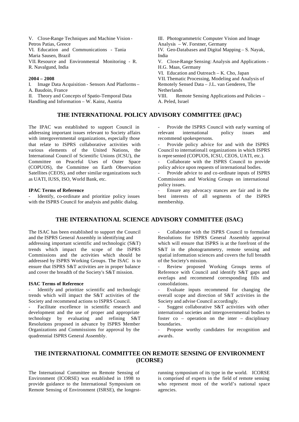V. Close-Range Techniques and Machine Vision - Petros Patias, Greece VI. Education and Communications - Tania Maria Sausen, Brazil VII. Resource and Environmental Monitoring - R. R. Navalgund, India

#### **2004 – 2008**

I. Image Data Acquisition - Sensors And Platforms – A. Baudoin, France II. Theory and Concepts of Spatio-Temporal Data Handling and Information – W. Kainz, Austria

#### **THE INTERNATIONAL POLICY ADVISORY COMMITTEE (IPAC)**

The IPAC was established to support Council in addressing important issues relevant to Society affairs with intergovernmental organizations, especially those that relate to ISPRS collaborative activities with various elements of the United Nations, the International Council of Scientific Unions (ICSU), the Committee on Peaceful Uses of Outer Space (COPUOS), the Committee on Earth Observation Satellites (CEOS), and other similar organizations such as UATI, IUSS, ISO, World Bank, etc.

#### **IPAC Terms of Reference**

Identify, co-ordinate and prioritize policy issues with the ISPRS Council for analysis and public dialog.

III. Photogrammetric Computer Vision and Image Analysis – W. Forstner, Germany IV. Geo-Databases and Digital Mapping – S. Nayak, India V. Close-Range Sensing: Analysis and Applications - H.G. Maas, Germany VI. Education and Outreach – K. Cho, Japan VII. Thematic Processing, Modeling and Analysis of Remotely Sensed Data – J.L. van Genderen, The Netherlands VIII. Remote Sensing Applications and Policies –

A. Peled, Israel

Provide the ISPRS Council with early warning of<br>vant international policy issues and relevant international policy issues and recommend spokespersons.

Provide policy advice for and with the ISPRS Council to international1 organizations in which ISPRS is repre sented (COPUOS, ICSU, CEOS, UATI, etc.).

- Collaborate with the ISPRS Council to provide policy advice upon requests of international bodies.

Provide advice to and co-ordinate inputs of ISPRS Commissions and Working Groups on international policy issues.

- Ensure any advocacy stances are fair and in the best interests of all segments of the ISPRS membership.

#### **THE INTERNATIONAL SCIENCE ADVISORY COMMITTEE (ISAC)**

The ISAC has been established to support the Council and the ISPRS General Assembly in identifying and addressing important scientific and technologic (S&T) trends which impact the scope of the ISPRS Commissions and the activities which should be addressed by ISPRS Working Groups. The ISAC is to ensure that ISPRS S&T activities are in proper balance and cover the breadth of the Society's S&T mission.

#### **ISAC Terms of Reference**

Identify and prioritize scientific and technologic trends which will impact the S&T activities of the Society and recommend actions to ISPRS Council.

Facilitate excellence in scientific research and development and the use of proper and appropriate technology by evaluating and refining S&T Resolutions proposed in advance by ISPRS Member Organizations and Commissions for approval by the quadrennial ISPRS General Assembly.

Collaborate with the ISPRS Council to formulate Resolutions for ISPRS General Assembly approval which will ensure that ISPRS is at the forefront of the S&T in the photogrammetry, remote sensing and spatial information sciences and covers the full breadth of the Society's mission.

Review proposed Working Groups terms of Reference with Council and identify S&T gaps and overlaps and recommend corresponding fills and consolidations.

Evaluate inputs recommend for changing the overall scope and direction of S&T activities in the Society and advise Council accordingly.

Suggest collaborative S&T activities with other international societies and intergovernmental bodies to foster co – operation on the inter – disciplinary boundaries.

Propose worthy candidates for recognition and awards.

#### **THE INTERNATIONAL COMMITTEE ON REMOTE SENSING OF ENVIRONMENT (ICORSE)**

The International Committee on Remote Sensing of Environment (ICORSE) was established in 1998 to provide guidance to the International Symposium on Remote Sensing of Environment (ISRSE), the longestrunning symposium of its type in the world. ICORSE is comprised of experts in the field of remote sensing who represent most of the world's national space agencies.